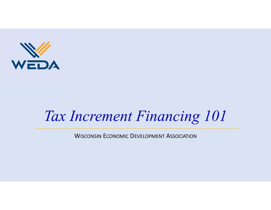

# Tax Increment Financing 101

WISCONSIN ECONOMIC DEVELOPMENT ASSOCIATION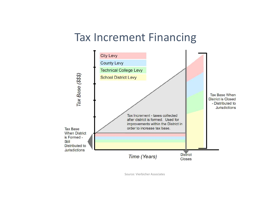## Tax Increment Financing



Source: Vierbicher Associates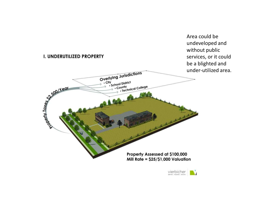

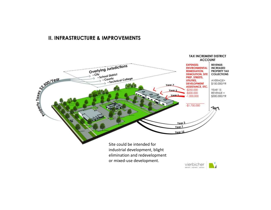### **II. INFRASTRUCTURE & IMPROVEMENTS**

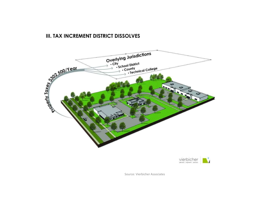### III. TAX INCREMENT DISTRICT DISSOLVES





Source: Vierbicher Associates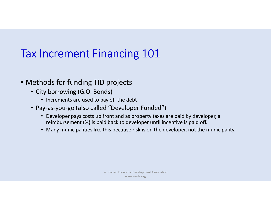# Tax Increment Financing 101

- Methods for funding TID projects
	- City borrowing (G.O. Bonds)
		- Increments are used to pay off the debt
	- Pay-as-you-go (also called "Developer Funded")
		- Developer pays costs up front and as property taxes are paid by developer, a reimbursement (%) is paid back to developer until incentive is paid off.
		- Many municipalities like this because risk is on the developer, not the municipality.